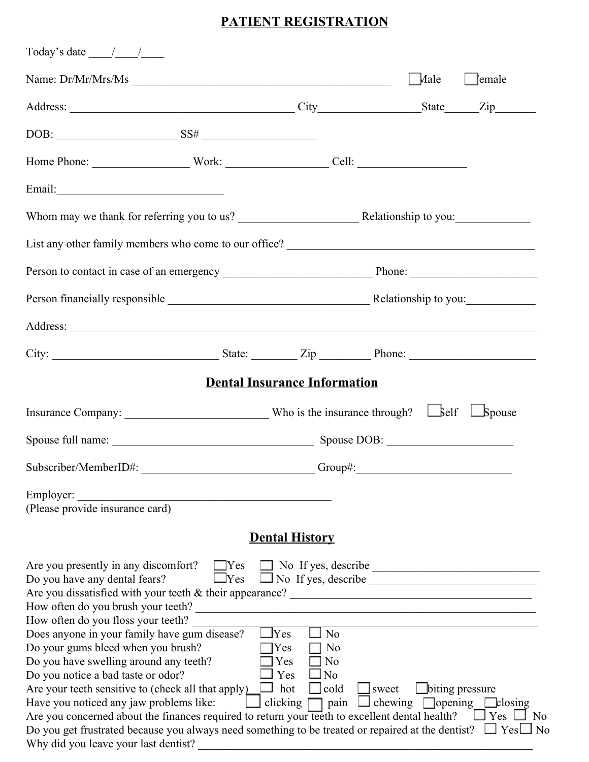# **PATIENT REGISTRATION**

| Today's date $\frac{\sqrt{2}}{2}$                                                                                                                                                                                                                                                                                                                                                                                                                                                                                                                        |                                                                                                                                                                    |                                               |                                                                                   |
|----------------------------------------------------------------------------------------------------------------------------------------------------------------------------------------------------------------------------------------------------------------------------------------------------------------------------------------------------------------------------------------------------------------------------------------------------------------------------------------------------------------------------------------------------------|--------------------------------------------------------------------------------------------------------------------------------------------------------------------|-----------------------------------------------|-----------------------------------------------------------------------------------|
| Name: Dr/Mr/Mrs/Ms                                                                                                                                                                                                                                                                                                                                                                                                                                                                                                                                       |                                                                                                                                                                    | Male                                          | $\Box$ emale                                                                      |
|                                                                                                                                                                                                                                                                                                                                                                                                                                                                                                                                                          |                                                                                                                                                                    |                                               |                                                                                   |
| $DOB:$ SS#                                                                                                                                                                                                                                                                                                                                                                                                                                                                                                                                               |                                                                                                                                                                    |                                               |                                                                                   |
|                                                                                                                                                                                                                                                                                                                                                                                                                                                                                                                                                          |                                                                                                                                                                    |                                               |                                                                                   |
|                                                                                                                                                                                                                                                                                                                                                                                                                                                                                                                                                          |                                                                                                                                                                    |                                               |                                                                                   |
|                                                                                                                                                                                                                                                                                                                                                                                                                                                                                                                                                          |                                                                                                                                                                    |                                               |                                                                                   |
|                                                                                                                                                                                                                                                                                                                                                                                                                                                                                                                                                          |                                                                                                                                                                    |                                               |                                                                                   |
|                                                                                                                                                                                                                                                                                                                                                                                                                                                                                                                                                          |                                                                                                                                                                    |                                               |                                                                                   |
|                                                                                                                                                                                                                                                                                                                                                                                                                                                                                                                                                          |                                                                                                                                                                    |                                               |                                                                                   |
|                                                                                                                                                                                                                                                                                                                                                                                                                                                                                                                                                          |                                                                                                                                                                    |                                               |                                                                                   |
|                                                                                                                                                                                                                                                                                                                                                                                                                                                                                                                                                          |                                                                                                                                                                    |                                               |                                                                                   |
|                                                                                                                                                                                                                                                                                                                                                                                                                                                                                                                                                          | <b>Dental Insurance Information</b>                                                                                                                                |                                               |                                                                                   |
|                                                                                                                                                                                                                                                                                                                                                                                                                                                                                                                                                          |                                                                                                                                                                    |                                               |                                                                                   |
|                                                                                                                                                                                                                                                                                                                                                                                                                                                                                                                                                          |                                                                                                                                                                    |                                               |                                                                                   |
| Subscriber/MemberID#: Group#: Group#:                                                                                                                                                                                                                                                                                                                                                                                                                                                                                                                    |                                                                                                                                                                    |                                               |                                                                                   |
| Employer:<br>(Please provide insurance card)                                                                                                                                                                                                                                                                                                                                                                                                                                                                                                             |                                                                                                                                                                    |                                               |                                                                                   |
|                                                                                                                                                                                                                                                                                                                                                                                                                                                                                                                                                          |                                                                                                                                                                    |                                               |                                                                                   |
|                                                                                                                                                                                                                                                                                                                                                                                                                                                                                                                                                          | <b>Dental History</b>                                                                                                                                              |                                               |                                                                                   |
| Are you presently in any discomfort? TYes TNo If yes, describe<br>Do you have any dental fears?<br>How often do you brush your teeth?                                                                                                                                                                                                                                                                                                                                                                                                                    | $\Box$ No If yes, describe<br>$\Box$ Yes<br><u> 1980 - Johann Barn, mars ann an t-Amhainn an t-Amhainn an t-Amhainn an t-Amhainn an t-Amhainn an t-Amhainn an </u> |                                               |                                                                                   |
| How often do you floss your teeth?<br>Does anyone in your family have gum disease?<br>Do your gums bleed when you brush?<br>Do you have swelling around any teeth?<br>Do you notice a bad taste or odor?<br>Are your teeth sensitive to (check all that apply)<br>Have you noticed any jaw problems like:<br>Are you concerned about the finances required to return your teeth to excellent dental health?<br>Do you get frustrated because you always need something to be treated or repaired at the dentist?<br>Why did you leave your last dentist? | $\Box$ Yes<br>$\Box$ No<br>$\exists$ Yes<br>$\Box$ No<br>$\square$ No<br>Yes<br>$\square$ No<br>$\exists$ Yes<br>$\Box$ hot<br>$\Box$ cold<br>clicking $\Box$ pain | $\Box$ sweet<br>$\Box$ chewing $\Box$ opening | biting pressure<br>$\Box$ closing<br>$\Box$ Yes $\Box$ No<br>$\Box$ Yes $\Box$ No |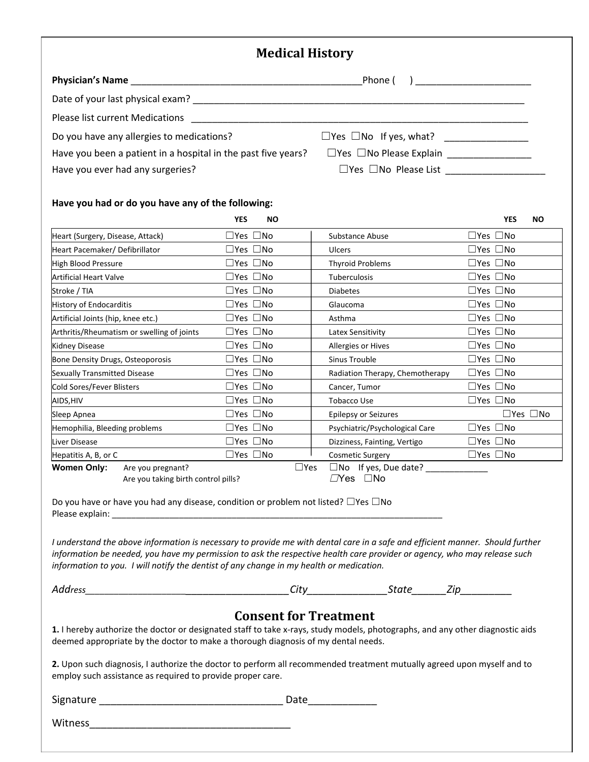### **Medical History**

|                                                               | Phone (<br>) and the contract of the contract of $\mathcal{L}$ |
|---------------------------------------------------------------|----------------------------------------------------------------|
|                                                               |                                                                |
| Please list current Medications                               |                                                                |
| Do you have any allergies to medications?                     | $\Box$ Yes $\Box$ No If yes, what?                             |
| Have you been a patient in a hospital in the past five years? | $\Box$ Yes $\Box$ No Please Explain                            |
| Have you ever had any surgeries?                              | $\Box$ Yes $\Box$ No Please List                               |

#### **Have you had or do you have any of the following:**

|                                    |                                                          | <b>YES</b>                 | <b>NO</b> |               |                                                     | <b>YES</b>                 | <b>NO</b>            |
|------------------------------------|----------------------------------------------------------|----------------------------|-----------|---------------|-----------------------------------------------------|----------------------------|----------------------|
| Heart (Surgery, Disease, Attack)   |                                                          | $\Box$ Yes $\Box$ No       |           |               | Substance Abuse                                     | $\square$ Yes $\square$ No |                      |
| Heart Pacemaker/Defibrillator      |                                                          | $\square$ Yes $\square$ No |           |               | Ulcers                                              | $\Box$ Yes $\Box$ No       |                      |
| High Blood Pressure                |                                                          | $\square$ Yes $\square$ No |           |               | <b>Thyroid Problems</b>                             | $\square$ Yes $\square$ No |                      |
| <b>Artificial Heart Valve</b>      |                                                          | $\square$ Yes $\square$ No |           |               | Tuberculosis                                        | $\Box$ Yes $\Box$ No       |                      |
| Stroke / TIA                       |                                                          | $\square$ Yes $\square$ No |           |               | <b>Diabetes</b>                                     | $\Box$ Yes $\Box$ No       |                      |
| <b>History of Endocarditis</b>     |                                                          | $\Box$ Yes $\Box$ No       |           |               | Glaucoma                                            | $\Box$ Yes $\Box$ No       |                      |
| Artificial Joints (hip, knee etc.) |                                                          | $\Box$ Yes $\Box$ No       |           |               | Asthma                                              | $\Box$ Yes $\Box$ No       |                      |
|                                    | Arthritis/Rheumatism or swelling of joints               | $\Box$ Yes $\Box$ No       |           |               | Latex Sensitivity                                   | $\Box$ Yes $\Box$ No       |                      |
| Kidney Disease                     |                                                          | $\square$ Yes $\square$ No |           |               | Allergies or Hives                                  | $\Box$ Yes $\Box$ No       |                      |
| Bone Density Drugs, Osteoporosis   |                                                          | $\Box$ Yes $\Box$ No       |           |               | Sinus Trouble                                       | $\Box$ Yes $\Box$ No       |                      |
| Sexually Transmitted Disease       |                                                          | $\square$ Yes $\square$ No |           |               | Radiation Therapy, Chemotherapy                     | $\square$ Yes $\square$ No |                      |
| Cold Sores/Fever Blisters          |                                                          | $\Box$ Yes $\Box$ No       |           |               | Cancer, Tumor                                       | $\Box$ Yes $\Box$ No       |                      |
| AIDS, HIV                          |                                                          | $\Box$ Yes $\Box$ No       |           |               | <b>Tobacco Use</b>                                  | $\Box$ Yes $\Box$ No       |                      |
| Sleep Apnea                        |                                                          | $\square$ Yes $\square$ No |           |               | <b>Epilepsy or Seizures</b>                         |                            | $\Box$ Yes $\Box$ No |
| Hemophilia, Bleeding problems      |                                                          | $\square$ Yes $\square$ No |           |               | Psychiatric/Psychological Care                      | $\square$ Yes $\square$ No |                      |
| Liver Disease                      |                                                          | $\Box$ Yes $\Box$ No       |           |               | Dizziness, Fainting, Vertigo                        | $\square$ Yes $\square$ No |                      |
| Hepatitis A, B, or C               |                                                          | $\square$ Yes $\square$ No |           |               | <b>Cosmetic Surgery</b>                             | $\Box$ Yes $\Box$ No       |                      |
| <b>Women Only:</b>                 | Are you pregnant?<br>Are you taking birth control pills? |                            |           | $\square$ Yes | $\square$ No If yes, Due date?<br>$\Box$ No<br>∟Yes |                            |                      |

Do you have or have you had any disease, condition or problem not listed? □Yes □No Please explain: \_\_\_\_\_\_\_\_\_\_\_\_\_\_\_\_\_\_\_\_\_\_\_\_\_\_\_\_\_\_\_\_\_\_\_\_\_\_\_\_\_\_\_\_\_\_\_\_\_\_\_\_\_\_\_\_\_\_\_\_\_\_\_\_\_\_\_\_\_

I understand the above information is necessary to provide me with dental care in a safe and efficient manner. Should further information be needed, you have my permission to ask the respective health care provider or agency, who may release such *information to you. I will notify the dentist of any change in my health or medication.*

|  | Aaaress |  |
|--|---------|--|
|  |         |  |

*Address\_\_\_\_\_\_\_\_\_\_\_\_\_\_\_\_\_\_\_\_\_\_\_\_\_\_\_\_\_\_\_\_\_\_\_\_\_\_\_City\_\_\_\_\_\_\_\_\_\_\_\_\_\_State\_\_\_\_\_\_Zip\_\_\_\_\_\_\_\_\_*

### **Consent for Treatment**

**1.** I hereby authorize the doctor or designated staff to take x-rays, study models, photographs, and any other diagnostic aids deemed appropriate by the doctor to make a thorough diagnosis of my dental needs.

**2.** Upon such diagnosis, I authorize the doctor to perform all recommended treatment mutually agreed upon myself and to employ such assistance as required to provide proper care.

Signature \_\_\_\_\_\_\_\_\_\_\_\_\_\_\_\_\_\_\_\_\_\_\_\_\_\_\_\_\_\_\_\_ Date\_\_\_\_\_\_\_\_\_\_\_\_

Witness\_\_\_\_\_\_\_\_\_\_\_\_\_\_\_\_\_\_\_\_\_\_\_\_\_\_\_\_\_\_\_\_\_\_\_